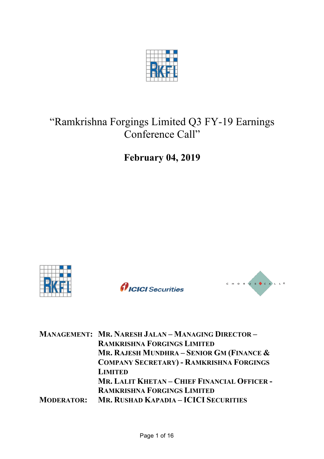

# "Ramkrishna Forgings Limited Q3 FY-19 Earnings Conference Call"

**February 04, 2019**







| <b>MANAGEMENT: MR. NARESH JALAN - MANAGING DIRECTOR -</b> |
|-----------------------------------------------------------|
| <b>RAMKRISHNA FORGINGS LIMITED</b>                        |
| MR. RAJESH MUNDHRA - SENIOR GM (FINANCE $\&$              |
| <b>COMPANY SECRETARY) - RAMKRISHNA FORGINGS</b>           |
| <b>LIMITED</b>                                            |
| MR, LALIT KHETAN - CHIEF FINANCIAL OFFICER -              |
| <b>RAMKRISHNA FORGINGS LIMITED</b>                        |
| MR. RUSHAD KAPADIA - ICICI SECURITIES                     |
|                                                           |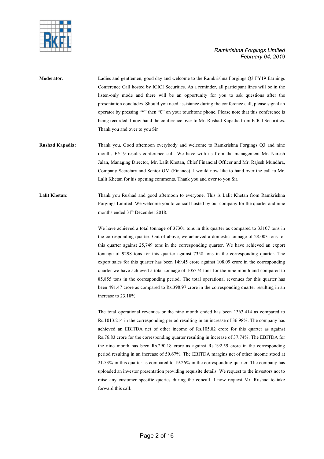

- **Moderator:** Ladies and gentlemen, good day and welcome to the Ramkrishna Forgings Q3 FY19 Earnings Conference Call hosted by ICICI Securities. As a reminder, all participant lines will be in the listen-only mode and there will be an opportunity for you to ask questions after the presentation concludes. Should you need assistance during the conference call, please signal an operator by pressing "\*" then "0" on your touchtone phone. Please note that this conference is being recorded. I now hand the conference over to Mr. Rushad Kapadia from ICICI Securities. Thank you and over to you Sir
- **Rushad Kapadia:** Thank you. Good afternoon everybody and welcome to Ramkrishna Forgings Q3 and nine months FY19 results conference call. We have with us from the management Mr. Naresh Jalan, Managing Director, Mr. Lalit Khetan, Chief Financial Officer and Mr. Rajesh Mundhra, Company Secretary and Senior GM (Finance). I would now like to hand over the call to Mr. Lalit Khetan for his opening comments. Thank you and over to you Sir.
- Lalit Khetan: Thank you Rushad and good afternoon to everyone. This is Lalit Khetan from Ramkrishna Forgings Limited. We welcome you to concall hosted by our company for the quarter and nine months ended 31<sup>st</sup> December 2018.

We have achieved a total tonnage of 37301 tons in this quarter as compared to 33107 tons in the corresponding quarter. Out of above, we achieved a domestic tonnage of 28,003 tons for this quarter against 25,749 tons in the corresponding quarter. We have achieved an export tonnage of 9298 tons for this quarter against 7358 tons in the corresponding quarter. The export sales for this quarter has been 149.45 crore against 108.09 crore in the corresponding quarter we have achieved a total tonnage of 105374 tons for the nine month and compared to 85,855 tons in the corresponding period. The total operational revenues for this quarter has been 491.47 crore as compared to Rs.398.97 crore in the corresponding quarter resulting in an increase to 23.18%.

The total operational revenues or the nine month ended has been 1363.414 as compared to Rs.1013.214 in the corresponding period resulting in an increase of 36.98%. The company has achieved an EBITDA net of other income of Rs.105.82 crore for this quarter as against Rs.76.83 crore for the corresponding quarter resulting in increase of 37.74%. The EBITDA for the nine month has been Rs.290.18 crore as against Rs.192.59 crore in the corresponding period resulting in an increase of 50.67%. The EBITDA margins net of other income stood at 21.53% in this quarter as compared to 19.26% in the corresponding quarter. The company has uploaded an investor presentation providing requisite details. We request to the investors not to raise any customer specific queries during the concall. I now request Mr. Rushad to take forward this call.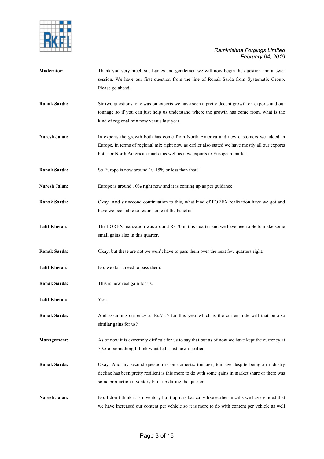

- **Moderator:** Thank you very much sir. Ladies and gentlemen we will now begin the question and answer session. We have our first question from the line of Ronak Sarda from Systematix Group. Please go ahead.
- **Ronak Sarda:** Sir two questions, one was on exports we have seen a pretty decent growth on exports and our tonnage so if you can just help us understand where the growth has come from, what is the kind of regional mix now versus last year.
- Naresh Jalan: In exports the growth both has come from North America and new customers we added in Europe. In terms of regional mix right now as earlier also stated we have mostly all our exports both for North American market as well as new exports to European market.
- **Ronak Sarda:** So Europe is now around 10-15% or less than that?
- Naresh Jalan: Europe is around 10% right now and it is coming up as per guidance.
- **Ronak Sarda:** Okay. And sir second continuation to this, what kind of FOREX realization have we got and have we been able to retain some of the benefits.
- Lalit Khetan: The FOREX realization was around Rs.70 in this quarter and we have been able to make some small gains also in this quarter.
- **Ronak Sarda:** Okay, but these are not we won't have to pass them over the next few quarters right.
- Lalit Khetan: No, we don't need to pass them.
- **Ronak Sarda:** This is how real gain for us.
- **Lalit Khetan:** Yes.
- **Ronak Sarda:** And assuming currency at Rs.71.5 for this year which is the current rate will that be also similar gains for us?
- **Management:** As of now it is extremely difficult for us to say that but as of now we have kept the currency at 70.5 or something I think what Lalit just now clarified.
- **Ronak Sarda:** Okay. And my second question is on domestic tonnage, tonnage despite being an industry decline has been pretty resilient is this more to do with some gains in market share or there was some production inventory built up during the quarter.
- **Naresh Jalan:** No, I don't think it is inventory built up it is basically like earlier in calls we have guided that we have increased our content per vehicle so it is more to do with content per vehicle as well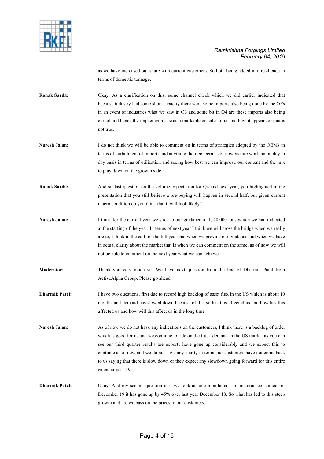

as we have increased our share with current customers. So both being added into resilience in terms of domestic tonnage.

**Ronak Sarda:** Okay. As a clarification on this, some channel check which we did earlier indicated that because industry had some short capacity there were some imports also being done by the OEs in an event of industries what we saw in Q3 and some bit in Q4 are these imports also being curtail and hence the impact won't be as remarkable on sales of us and how it appears or that is not true.

- **Naresh Jalan:** I do not think we will be able to comment on in terms of strategies adopted by the OEMs in terms of curtailment of imports and anything their concern as of now we are working on day to day basis in terms of utilization and seeing how best we can improve our content and the mix to play down on the growth side.
- **Ronak Sarda:** And sir last question on the volume expectation for Q4 and next year, you highlighted in the presentation that you still believe a pre-buying will happen in second half, but given current macro condition do you think that it will look likely?
- **Naresh Jalan:** I think for the current year we stick to our guidance of 1, 40,000 tons which we had indicated at the starting of the year. In terms of next year I think we will cross the bridge when we really are to, I think in the call for the full year that when we provide our guidance and when we have in actual clarity about the market that is when we can comment on the same, as of now we will not be able to comment on the next year what we can achieve.
- **Moderator:** Thank you very much sir. We have next question from the line of Dharmik Patel from ActiveAlpha Group. Please go ahead.
- **Dharmik Patel:** I have two questions, first due to record high backlog of asset flux in the US which is about 10 months and demand has slowed down because of this so has this affected us and how has this affected us and how will this affect us in the long time.
- **Naresh Jalan:** As of now we do not have any indications on the customers, I think there is a backlog of order which is good for us and we continue to ride on the truck demand in the US market as you can see our third quarter results are exports have gone up considerably and we expect this to continue as of now and we do not have any clarity in terms our customers have not come back to us saying that there is slow down or they expect any slowdown going forward for this entire calendar year 19.
- **Dharmik Patel:** Okay. And my second question is if we look at nine months cost of material consumed for December 19 it has gone up by 45% over last year December 18. So what has led to this steep growth and are we pass on the prices to our customers.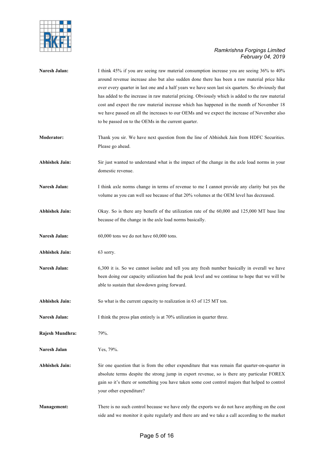

| Naresh Jalan:         | I think 45% if you are seeing raw material consumption increase you are seeing 36% to 40%<br>around revenue increase also but also sudden done there has been a raw material price hike<br>over every quarter in last one and a half years we have seen last six quarters. So obviously that<br>has added to the increase in raw material pricing. Obviously which is added to the raw material<br>cost and expect the raw material increase which has happened in the month of November 18<br>we have passed on all the increases to our OEMs and we expect the increase of November also<br>to be passed on to the OEMs in the current quarter. |
|-----------------------|---------------------------------------------------------------------------------------------------------------------------------------------------------------------------------------------------------------------------------------------------------------------------------------------------------------------------------------------------------------------------------------------------------------------------------------------------------------------------------------------------------------------------------------------------------------------------------------------------------------------------------------------------|
| <b>Moderator:</b>     | Thank you sir. We have next question from the line of Abhishek Jain from HDFC Securities.<br>Please go ahead.                                                                                                                                                                                                                                                                                                                                                                                                                                                                                                                                     |
| <b>Abhishek Jain:</b> | Sir just wanted to understand what is the impact of the change in the axle load norms in your<br>domestic revenue.                                                                                                                                                                                                                                                                                                                                                                                                                                                                                                                                |
| Naresh Jalan:         | I think axle norms change in terms of revenue to me I cannot provide any clarity but yes the<br>volume as you can well see because of that 20% volumes at the OEM level has decreased.                                                                                                                                                                                                                                                                                                                                                                                                                                                            |
| <b>Abhishek Jain:</b> | Okay. So is there any benefit of the utilization rate of the 60,000 and 125,000 MT base line<br>because of the change in the axle load norms basically.                                                                                                                                                                                                                                                                                                                                                                                                                                                                                           |
| Naresh Jalan:         | 60,000 tons we do not have 60,000 tons.                                                                                                                                                                                                                                                                                                                                                                                                                                                                                                                                                                                                           |
| <b>Abhishek Jain:</b> | 63 sorry.                                                                                                                                                                                                                                                                                                                                                                                                                                                                                                                                                                                                                                         |
| Naresh Jalan:         | 6,300 it is. So we cannot isolate and tell you any fresh number basically in overall we have<br>been doing our capacity utilization had the peak level and we continue to hope that we will be<br>able to sustain that slowdown going forward.                                                                                                                                                                                                                                                                                                                                                                                                    |
| <b>Abhishek Jain:</b> | So what is the current capacity to realization in 63 of 125 MT ton.                                                                                                                                                                                                                                                                                                                                                                                                                                                                                                                                                                               |
| Naresh Jalan:         | I think the press plan entirely is at 70% utilization in quarter three.                                                                                                                                                                                                                                                                                                                                                                                                                                                                                                                                                                           |
| Rajesh Mundhra:       | 79%.                                                                                                                                                                                                                                                                                                                                                                                                                                                                                                                                                                                                                                              |
| Naresh Jalan          | Yes, 79%.                                                                                                                                                                                                                                                                                                                                                                                                                                                                                                                                                                                                                                         |
| <b>Abhishek Jain:</b> | Sir one question that is from the other expenditure that was remain flat quarter-on-quarter in<br>absolute terms despite the strong jump in export revenue, so is there any particular FOREX<br>gain so it's there or something you have taken some cost control majors that helped to control<br>your other expenditure?                                                                                                                                                                                                                                                                                                                         |
| <b>Management:</b>    | There is no such control because we have only the exports we do not have anything on the cost<br>side and we monitor it quite regularly and there are and we take a call according to the market                                                                                                                                                                                                                                                                                                                                                                                                                                                  |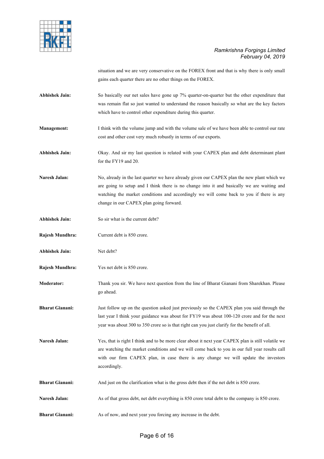

situation and we are very conservative on the FOREX front and that is why there is only small gains each quarter there are no other things on the FOREX.

- **Abhishek Jain:** So basically our net sales have gone up 7% quarter-on-quarter but the other expenditure that was remain flat so just wanted to understand the reason basically so what are the key factors which have to control other expenditure during this quarter.
- **Management:** I think with the volume jump and with the volume sale of we have been able to control our rate cost and other cost very much robustly in terms of our exports.
- **Abhishek Jain:** Okay. And sir my last question is related with your CAPEX plan and debt determinant plant for the FY19 and 20.
- Naresh Jalan: No, already in the last quarter we have already given our CAPEX plan the new plant which we are going to setup and I think there is no change into it and basically we are waiting and watching the market conditions and accordingly we will come back to you if there is any change in our CAPEX plan going forward.
- **Abhishek Jain:** So sir what is the current debt?
- **Rajesh Mundhra:** Current debt is 850 crore.
- **Abhishek Jain:** Net debt?
- **Rajesh Mundhra:** Yes net debt is 850 crore.
- **Moderator:** Thank you sir. We have next question from the line of Bharat Gianani from Sharekhan. Please go ahead.
- **Bharat Gianani:** Just follow up on the question asked just previously so the CAPEX plan you said through the last year I think your guidance was about for FY19 was about 100-120 crore and for the next year was about 300 to 350 crore so is that right can you just clarify for the benefit of all.
- **Naresh Jalan:** Yes, that is right I think and to be more clear about it next year CAPEX plan is still volatile we are watching the market conditions and we will come back to you in our full year results call with our firm CAPEX plan, in case there is any change we will update the investors accordingly.
- **Bharat Gianani:** And just on the clarification what is the gross debt then if the net debt is 850 crore.
- **Naresh Jalan:** As of that gross debt, net debt everything is 850 crore total debt to the company is 850 crore.
- **Bharat Gianani:** As of now, and next year you forcing any increase in the debt.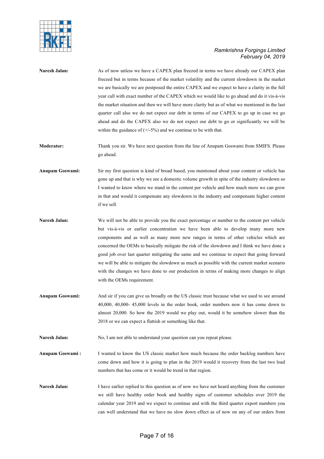

| Naresh Jalan:   | As of now unless we have a CAPEX plan freezed in terms we have already our CAPEX plan<br>freezed but in terms because of the market volatility and the current slowdown in the market<br>we are basically we are postposed the entire CAPEX and we expect to have a clarity in the full<br>year call with exact number of the CAPEX which we would like to go ahead and do it vis-à-vis<br>the market situation and then we will have more clarity but as of what we mentioned in the last<br>quarter call also we do not expect our debt in terms of our CAPEX to go up in case we go<br>ahead and do the CAPEX also we do not expect our debt to go or significantly we will be<br>within the guidance of $(+/-5%)$ and we continue to be with that. |
|-----------------|--------------------------------------------------------------------------------------------------------------------------------------------------------------------------------------------------------------------------------------------------------------------------------------------------------------------------------------------------------------------------------------------------------------------------------------------------------------------------------------------------------------------------------------------------------------------------------------------------------------------------------------------------------------------------------------------------------------------------------------------------------|
| Moderator:      | Thank you sir. We have next question from the line of Anupam Goswami from SMIFS. Please<br>go ahead.                                                                                                                                                                                                                                                                                                                                                                                                                                                                                                                                                                                                                                                   |
| Anupam Goswami: | Sir my first question is kind of broad based, you mentioned about your content or vehicle has<br>gone up and that is why we see a domestic volume growth in spite of the industry slowdown so<br>I wanted to know where we stand in the content per vehicle and how much more we can grow<br>in that and would it compensate any slowdown in the industry and compensate higher content<br>if we sell.                                                                                                                                                                                                                                                                                                                                                 |
| Naresh Jalan:   | We will not be able to provide you the exact percentage or number to the content per vehicle<br>but vis-à-vis or earlier concentration we have been able to develop many more new<br>components and as well as many more new ranges in terms of other vehicles which are<br>concerned the OEMs to basically mitigate the risk of the slowdown and I think we have done a<br>good job over last quarter mitigating the same and we continue to expect that going forward<br>we will be able to mitigate the slowdown as much as possible with the current market scenario<br>with the changes we have done to our production in terms of making more changes to align<br>with the OEMs requirement.                                                     |
| Anupam Goswami: | And sir if you can give us broadly on the US classic trust because what we used to see around<br>$40,000, 40,000$ - $45,000$ levels in the order book, order numbers now it has come down to<br>almost 20,000. So how the 2019 would we play out, would it be somehow slower than the<br>2018 or we can expect a flattish or something like that.                                                                                                                                                                                                                                                                                                                                                                                                      |
| Naresh Jalan:   | No, I am not able to understand your question can you repeat please.                                                                                                                                                                                                                                                                                                                                                                                                                                                                                                                                                                                                                                                                                   |
| Anupam Goswami: | I wanted to know the US classic market how much because the order backlog numbers have<br>come down and how it is going to plan in the 2019 would it recovery from the last two load<br>numbers that has come or it would be trend in that region.                                                                                                                                                                                                                                                                                                                                                                                                                                                                                                     |
| Naresh Jalan:   | I have earlier replied to this question as of now we have not heard anything from the customer<br>we still have healthy order book and healthy signs of customer schedules over 2019 the<br>calendar year 2019 and we expect to continue and with the third quarter export numbers you<br>can well understand that we have no slow down effect as of now on any of our orders from                                                                                                                                                                                                                                                                                                                                                                     |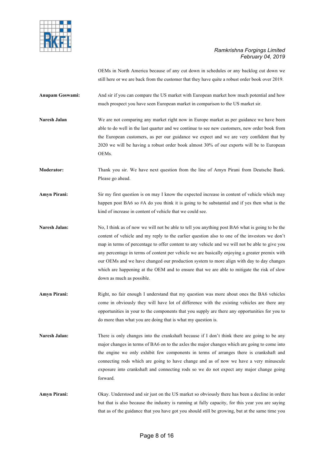

OEMs in North America because of any cut down in schedules or any backlog cut down we still here or we are back from the customer that they have quite a robust order book over 2019.

**Anupam Goswami:** And sir if you can compare the US market with European market how much potential and how much prospect you have seen European market in comparison to the US market sir.

**Naresh Jalan** We are not comparing any market right now in Europe market as per guidance we have been able to do well in the last quarter and we continue to see new customers, new order book from the European customers, as per our guidance we expect and we are very confident that by 2020 we will be having a robust order book almost 30% of our exports will be to European OEMs.

**Moderator:** Thank you sir. We have next question from the line of Amyn Pirani from Deutsche Bank. Please go ahead.

**Amyn Pirani:** Sir my first question is on may I know the expected increase in content of vehicle which may happen post BA6 so #A do you think it is going to be substantial and if yes then what is the kind of increase in content of vehicle that we could see.

**Naresh Jalan:** No, I think as of now we will not be able to tell you anything post BA6 what is going to be the content of vehicle and my reply to the earlier question also to one of the investors we don't map in terms of percentage to offer content to any vehicle and we will not be able to give you any percentage in terms of content per vehicle we are basically enjoying a greater premix with our OEMs and we have changed our production system to more align with day to day changes which are happening at the OEM and to ensure that we are able to mitigate the risk of slow down as much as possible.

**Amyn Pirani:** Right, no fair enough I understand that my question was more about ones the BA6 vehicles come in obviously they will have lot of difference with the existing vehicles are there any opportunities in your to the components that you supply are there any opportunities for you to do more than what you are doing that is what my question is.

Naresh Jalan: There is only changes into the crankshaft because if I don't think there are going to be any major changes in terms of BA6 on to the axles the major changes which are going to come into the engine we only exhibit few components in terms of arranges there is crankshaft and connecting rods which are going to have change and as of now we have a very minuscule exposure into crankshaft and connecting rods so we do not expect any major change going forward.

**Amyn Pirani:** Okay. Understood and sir just on the US market so obviously there has been a decline in order but that is also because the industry is running at fully capacity, for this year you are saying that as of the guidance that you have got you should still be growing, but at the same time you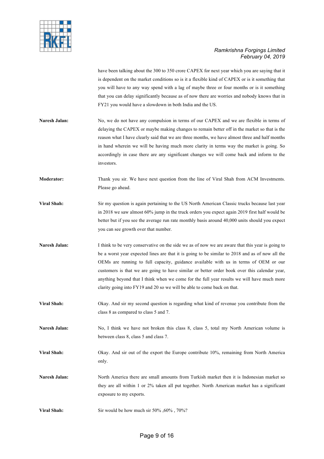

have been talking about the 300 to 350 crore CAPEX for next year which you are saying that it is dependent on the market conditions so is it a flexible kind of CAPEX or is it something that you will have to any way spend with a lag of maybe three or four months or is it something that you can delay significantly because as of now there are worries and nobody knows that in FY21 you would have a slowdown in both India and the US.

- **Naresh Jalan:** No, we do not have any compulsion in terms of our CAPEX and we are flexible in terms of delaying the CAPEX or maybe making changes to remain better off in the market so that is the reason what I have clearly said that we are three months, we have almost three and half months in hand wherein we will be having much more clarity in terms way the market is going. So accordingly in case there are any significant changes we will come back and inform to the investors.
- **Moderator:** Thank you sir. We have next question from the line of Viral Shah from ACM Investments. Please go ahead.
- **Viral Shah:** Sir my question is again pertaining to the US North American Classic trucks because last year in 2018 we saw almost 60% jump in the truck orders you expect again 2019 first half would be better but if you see the average run rate monthly basis around 40,000 units should you expect you can see growth over that number.
- **Naresh Jalan:** I think to be very conservative on the side we as of now we are aware that this year is going to be a worst year expected lines are that it is going to be similar to 2018 and as of now all the OEMs are running to full capacity, guidance available with us in terms of OEM or our customers is that we are going to have similar or better order book over this calendar year, anything beyond that I think when we come for the full year results we will have much more clarity going into FY19 and 20 so we will be able to come back on that.
- **Viral Shah:** Okay. And sir my second question is regarding what kind of revenue you contribute from the class 8 as compared to class 5 and 7.
- Naresh Jalan: No, I think we have not broken this class 8, class 5, total my North American volume is between class 8, class 5 and class 7.
- **Viral Shah:** Okay. And sir out of the export the Europe contribute 10%, remaining from North America only.
- **Naresh Jalan:** North America there are small amounts from Turkish market then it is Indonesian market so they are all within 1 or 2% taken all put together. North American market has a significant exposure to my exports.
- **Viral Shah:** Sir would be how much sir 50% ,60% , 70%?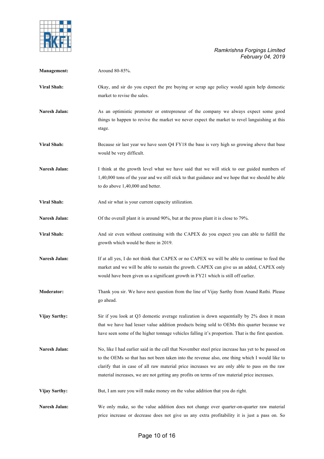

| Management:          | Around 80-85%.                                                                                                                                                                                                                                                                                                                                                                                      |
|----------------------|-----------------------------------------------------------------------------------------------------------------------------------------------------------------------------------------------------------------------------------------------------------------------------------------------------------------------------------------------------------------------------------------------------|
| Viral Shah:          | Okay, and sir do you expect the pre buying or scrap age policy would again help domestic<br>market to revise the sales.                                                                                                                                                                                                                                                                             |
| Naresh Jalan:        | As an optimistic promoter or entrepreneur of the company we always expect some good<br>things to happen to revive the market we never expect the market to revel languishing at this<br>stage.                                                                                                                                                                                                      |
| <b>Viral Shah:</b>   | Because sir last year we have seen Q4 FY18 the base is very high so growing above that base<br>would be very difficult.                                                                                                                                                                                                                                                                             |
| Naresh Jalan:        | I think at the growth level what we have said that we will stick to our guided numbers of<br>1,40,000 tons of the year and we still stick to that guidance and we hope that we should be able<br>to do above 1,40,000 and better.                                                                                                                                                                   |
| Viral Shah:          | And sir what is your current capacity utilization.                                                                                                                                                                                                                                                                                                                                                  |
| Naresh Jalan:        | Of the overall plant it is around 90%, but at the press plant it is close to 79%.                                                                                                                                                                                                                                                                                                                   |
| <b>Viral Shah:</b>   | And sir even without continuing with the CAPEX do you expect you can able to fulfill the<br>growth which would be there in 2019.                                                                                                                                                                                                                                                                    |
| Naresh Jalan:        | If at all yes, I do not think that CAPEX or no CAPEX we will be able to continue to feed the<br>market and we will be able to sustain the growth. CAPEX can give us an added, CAPEX only<br>would have been given us a significant growth in FY21 which is still off earlier.                                                                                                                       |
| <b>Moderator:</b>    | Thank you sir. We have next question from the line of Vijay Sarthy from Anand Rathi. Please<br>go ahead.                                                                                                                                                                                                                                                                                            |
| <b>Vijay Sarthy:</b> | Sir if you look at Q3 domestic average realization is down sequentially by 2% does it mean<br>that we have had lesser value addition products being sold to OEMs this quarter because we<br>have seen some of the higher tonnage vehicles falling it's proportion. That is the first question.                                                                                                      |
| Naresh Jalan:        | No, like I had earlier said in the call that November steel price increase has yet to be passed on<br>to the OEMs so that has not been taken into the revenue also, one thing which I would like to<br>clarify that in case of all raw material price increases we are only able to pass on the raw<br>material increases, we are not getting any profits on terms of raw material price increases. |
| Vijay Sarthy:        | But, I am sure you will make money on the value addition that you do right.                                                                                                                                                                                                                                                                                                                         |
| Naresh Jalan:        | We only make, so the value addition does not change over quarter-on-quarter raw material<br>price increase or decrease does not give us any extra profitability it is just a pass on. So                                                                                                                                                                                                            |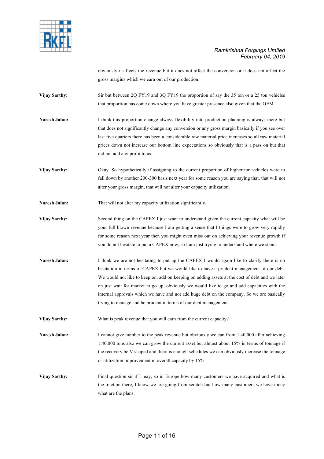

obviously it affects the revenue but it does not affect the conversion or it does not affect the gross margins which we earn out of our production.

**Vijay Sarthy:** Sir but between 2Q FY19 and 3Q FY19 the proportion of say the 35 ton or a 25 ton vehicles that proportion has come down where you have greater presence also given that the OEM.

**Naresh Jalan:** I think this proportion change always flexibility into production planning is always there but that does not significantly change any conversion or any gross margin basically if you see over last five quarters there has been a considerable raw material price increases so all raw material prices down not increase our bottom line expectations so obviously that is a pass on but that did not add any profit to us.

**Vijay Sarthy:** Okay. So hypothetically if assigning to the current proportion of higher ton vehicles were to fall down by another 200-300 basis next year for some reason you are saying that, that will not alter your gross margin, that will not alter your capacity utilization.

Naresh Jalan: That will not alter my capacity utilization significantly.

**Vijay Sarthy:** Second thing on the CAPEX I just want to understand given the current capacity what will be your full blown revenue because I am getting a sense that I things were to grow very rapidly for some reason next year then you might even miss out on achieving your revenue growth if you do not hesitate to put a CAPEX now, so I am just trying to understand where we stand.

Naresh Jalan: I think we are not hesitating to put up the CAPEX I would again like to clarify there is no hesitation in terms of CAPEX but we would like to have a prudent management of our debt. We would not like to keep on, add on keeping on adding assets at the cost of debt and we later on just wait for market to go up, obviously we would like to go and add capacities with the internal approvals which we have and not add huge debt on the company. So we are basically trying to manage and be prudent in terms of our debt management.

**Vijay Sarthy:** What is peak revenue that you will earn from the current capacity?

**Naresh Jalan:** I cannot give number to the peak revenue but obviously we can from 1,40,000 after achieving 1,40,000 tons also we can grow the current asset but almost about 15% in terms of tonnage if the recovery be V shaped and there is enough schedules we can obviously increase the tonnage or utilization improvement in overall capacity by 15%.

**Vijay Sarthy:** Final question sir if I may, so in Europe how many customers we have acquired and what is the traction there, I know we are going from scratch but how many customers we have today what are the plans.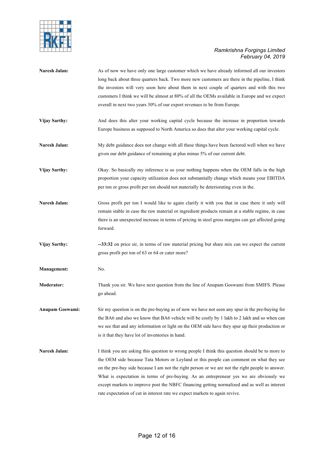

| Naresh Jalan:        | As of now we have only one large customer which we have already informed all our investors<br>long back about three quarters back. Two more new customers are there in the pipeline, I think<br>the investors will very soon here about them in next couple of quarters and with this two<br>customers I think we will be almost at 80% of all the OEMs available in Europe and we expect<br>overall in next two years 30% of our export revenues to be from Europe.                                                                                                   |
|----------------------|------------------------------------------------------------------------------------------------------------------------------------------------------------------------------------------------------------------------------------------------------------------------------------------------------------------------------------------------------------------------------------------------------------------------------------------------------------------------------------------------------------------------------------------------------------------------|
| Vijay Sarthy:        | And does this alter your working capital cycle because the increase in proportion towards<br>Europe business as supposed to North America so does that alter your working capital cycle.                                                                                                                                                                                                                                                                                                                                                                               |
| Naresh Jalan:        | My debt guidance does not change with all these things have been factored well when we have<br>given our debt guidance of remaining at plus minus 5% of our current debt.                                                                                                                                                                                                                                                                                                                                                                                              |
| <b>Vijay Sarthy:</b> | Okay. So basically my inference is so your nothing happens when the OEM falls in the high<br>proportion your capacity utilization does not substantially change which means your EBITDA<br>per ton or gross profit per ton should not materially be deteriorating even in the.                                                                                                                                                                                                                                                                                         |
| Naresh Jalan:        | Gross profit per ton I would like to again clarify it with you that in case there it only will<br>remain stable in case the raw material or ingredient products remain at a stable regime, in case<br>there is an unexpected increase in terms of pricing in steel gross margins can get affected going<br>forward.                                                                                                                                                                                                                                                    |
| Vijay Sarthy:        | --33:32 on price sir, in terms of raw material pricing but share mix can we expect the current<br>gross profit per ton of 63 or 64 or cater more?                                                                                                                                                                                                                                                                                                                                                                                                                      |
| <b>Management:</b>   | No.                                                                                                                                                                                                                                                                                                                                                                                                                                                                                                                                                                    |
| <b>Moderator:</b>    | Thank you sir. We have next question from the line of Anupam Goswami from SMIFS. Please<br>go ahead.                                                                                                                                                                                                                                                                                                                                                                                                                                                                   |
| Anupam Goswami:      | Sir my question is on the pre-buying as of now we have not seen any spur in the pre-buying for<br>the BA6 and also we know that BA6 vehicle will be costly by 1 lakh to 2 lakh and so when can<br>we see that and any information or light on the OEM side have they spur up their production or<br>is it that they have lot of inventories in hand.                                                                                                                                                                                                                   |
| Naresh Jalan:        | I think you are asking this question to wrong people I think this question should be to more to<br>the OEM side because Tata Motors or Leyland or this people can comment on what they see<br>on the pre-buy side because I am not the right person or we are not the right people to answer.<br>What is expectation in terms of pre-buying. As an entrepreneur yes we are obviously we<br>except markets to improve post the NBFC financing getting normalized and as well as interest<br>rate expectation of cut in interest rate we expect markets to again revive. |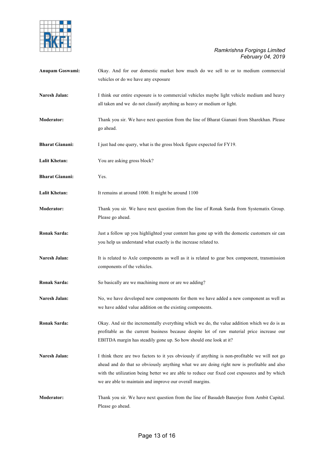

| Anupam Goswami:        | Okay. And for our domestic market how much do we sell to or to medium commercial<br>vehicles or do we have any exposure                                                                                                                                                                                                                                   |
|------------------------|-----------------------------------------------------------------------------------------------------------------------------------------------------------------------------------------------------------------------------------------------------------------------------------------------------------------------------------------------------------|
| Naresh Jalan:          | I think our entire exposure is to commercial vehicles maybe light vehicle medium and heavy<br>all taken and we do not classify anything as heavy or medium or light.                                                                                                                                                                                      |
| <b>Moderator:</b>      | Thank you sir. We have next question from the line of Bharat Gianani from Sharekhan. Please<br>go ahead.                                                                                                                                                                                                                                                  |
| <b>Bharat Gianani:</b> | I just had one query, what is the gross block figure expected for FY19.                                                                                                                                                                                                                                                                                   |
| <b>Lalit Khetan:</b>   | You are asking gross block?                                                                                                                                                                                                                                                                                                                               |
| <b>Bharat Gianani:</b> | Yes.                                                                                                                                                                                                                                                                                                                                                      |
| <b>Lalit Khetan:</b>   | It remains at around 1000. It might be around 1100                                                                                                                                                                                                                                                                                                        |
| <b>Moderator:</b>      | Thank you sir. We have next question from the line of Ronak Sarda from Systematix Group.<br>Please go ahead.                                                                                                                                                                                                                                              |
| <b>Ronak Sarda:</b>    | Just a follow up you highlighted your content has gone up with the domestic customers sir can<br>you help us understand what exactly is the increase related to.                                                                                                                                                                                          |
| Naresh Jalan:          | It is related to Axle components as well as it is related to gear box component, transmission<br>components of the vehicles.                                                                                                                                                                                                                              |
| <b>Ronak Sarda:</b>    | So basically are we machining more or are we adding?                                                                                                                                                                                                                                                                                                      |
| Naresh Jalan:          | No, we have developed new components for them we have added a new component as well as<br>we have added value addition on the existing components.                                                                                                                                                                                                        |
| <b>Ronak Sarda:</b>    | Okay. And sir the incrementally everything which we do, the value addition which we do is as<br>profitable as the current business because despite lot of raw material price increase our<br>EBITDA margin has steadily gone up. So how should one look at it?                                                                                            |
| Naresh Jalan:          | I think there are two factors to it yes obviously if anything is non-profitable we will not go<br>ahead and do that so obviously anything what we are doing right now is profitable and also<br>with the utilization being better we are able to reduce our fixed cost exposures and by which<br>we are able to maintain and improve our overall margins. |
| <b>Moderator:</b>      | Thank you sir. We have next question from the line of Basudeb Banerjee from Ambit Capital.<br>Please go ahead.                                                                                                                                                                                                                                            |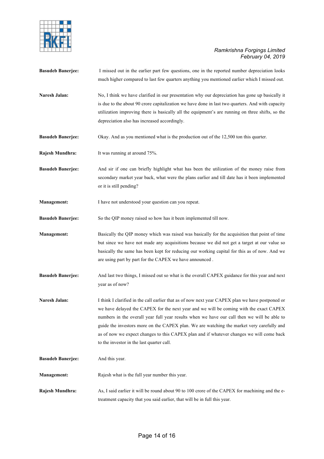

| <b>Basudeb Banerjee:</b> | I missed out in the earlier part few questions, one in the reported number depreciation looks<br>much higher compared to last few quarters anything you mentioned earlier which I missed out.                                                                                                                                                                                                                                                                                                                                   |
|--------------------------|---------------------------------------------------------------------------------------------------------------------------------------------------------------------------------------------------------------------------------------------------------------------------------------------------------------------------------------------------------------------------------------------------------------------------------------------------------------------------------------------------------------------------------|
| Naresh Jalan:            | No, I think we have clarified in our presentation why our depreciation has gone up basically it<br>is due to the about 90 crore capitalization we have done in last two quarters. And with capacity<br>utilization improving there is basically all the equipment's are running on three shifts, so the<br>depreciation also has increased accordingly.                                                                                                                                                                         |
| <b>Basudeb Banerjee:</b> | Okay. And as you mentioned what is the production out of the 12,500 ton this quarter.                                                                                                                                                                                                                                                                                                                                                                                                                                           |
| Rajesh Mundhra:          | It was running at around 75%.                                                                                                                                                                                                                                                                                                                                                                                                                                                                                                   |
| <b>Basudeb Banerjee:</b> | And sir if one can briefly highlight what has been the utilization of the money raise from<br>secondary market year back, what were the plans earlier and till date has it been implemented<br>or it is still pending?                                                                                                                                                                                                                                                                                                          |
| Management:              | I have not understood your question can you repeat.                                                                                                                                                                                                                                                                                                                                                                                                                                                                             |
| <b>Basudeb Banerjee:</b> | So the QIP money raised so how has it been implemented till now.                                                                                                                                                                                                                                                                                                                                                                                                                                                                |
| <b>Management:</b>       | Basically the QIP money which was raised was basically for the acquisition that point of time<br>but since we have not made any acquisitions because we did not get a target at our value so<br>basically the same has been kept for reducing our working capital for this as of now. And we<br>are using part by part for the CAPEX we have announced.                                                                                                                                                                         |
| <b>Basudeb Banerjee:</b> | And last two things, I missed out so what is the overall CAPEX guidance for this year and next<br>year as of now?                                                                                                                                                                                                                                                                                                                                                                                                               |
| Naresh Jalan:            | I think I clarified in the call earlier that as of now next year CAPEX plan we have postponed or<br>we have delayed the CAPEX for the next year and we will be coming with the exact CAPEX<br>numbers in the overall year full year results when we have our call then we will be able to<br>guide the investors more on the CAPEX plan. We are watching the market very carefully and<br>as of now we expect changes to this CAPEX plan and if whatever changes we will come back<br>to the investor in the last quarter call. |
| <b>Basudeb Banerjee:</b> | And this year.                                                                                                                                                                                                                                                                                                                                                                                                                                                                                                                  |
| <b>Management:</b>       | Rajesh what is the full year number this year.                                                                                                                                                                                                                                                                                                                                                                                                                                                                                  |
| Rajesh Mundhra:          | As, I said earlier it will be round about 90 to 100 crore of the CAPEX for machining and the e-<br>treatment capacity that you said earlier, that will be in full this year.                                                                                                                                                                                                                                                                                                                                                    |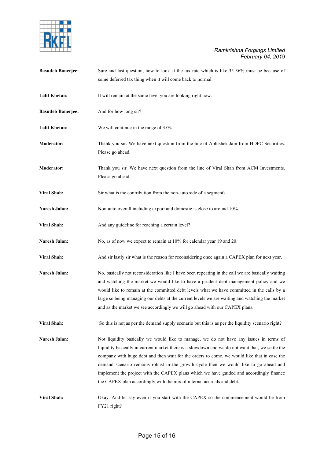

| <b>Basudeb Banerjee:</b> | Sure and last question, how to look at the tax rate which is like 35-36% must be because of<br>some deferred tax thing when it will come back to normal.                                                                                                                                                                                                                                                                                                                                                                                                |
|--------------------------|---------------------------------------------------------------------------------------------------------------------------------------------------------------------------------------------------------------------------------------------------------------------------------------------------------------------------------------------------------------------------------------------------------------------------------------------------------------------------------------------------------------------------------------------------------|
| <b>Lalit Khetan:</b>     | It will remain at the same level you are looking right now.                                                                                                                                                                                                                                                                                                                                                                                                                                                                                             |
| <b>Basudeb Banerjee:</b> | And for how long sir?                                                                                                                                                                                                                                                                                                                                                                                                                                                                                                                                   |
| <b>Lalit Khetan:</b>     | We will continue in the range of 35%.                                                                                                                                                                                                                                                                                                                                                                                                                                                                                                                   |
| <b>Moderator:</b>        | Thank you sir. We have next question from the line of Abhishek Jain from HDFC Securities.<br>Please go ahead.                                                                                                                                                                                                                                                                                                                                                                                                                                           |
| <b>Moderator:</b>        | Thank you sir. We have next question from the line of Viral Shah from ACM Investments.<br>Please go ahead.                                                                                                                                                                                                                                                                                                                                                                                                                                              |
| Viral Shah:              | Sir what is the contribution from the non-auto side of a segment?                                                                                                                                                                                                                                                                                                                                                                                                                                                                                       |
| Naresh Jalan:            | Non-auto overall including export and domestic is close to around 10%.                                                                                                                                                                                                                                                                                                                                                                                                                                                                                  |
| Viral Shah:              | And any guideline for reaching a certain level?                                                                                                                                                                                                                                                                                                                                                                                                                                                                                                         |
| Naresh Jalan:            | No, as of now we expect to remain at 10% for calendar year 19 and 20.                                                                                                                                                                                                                                                                                                                                                                                                                                                                                   |
| Viral Shah:              | And sir lastly sir what is the reason for reconsidering once again a CAPEX plan for next year.                                                                                                                                                                                                                                                                                                                                                                                                                                                          |
| Naresh Jalan:            | No, basically not reconsideration like I have been repeating in the call we are basically waiting<br>and watching the market we would like to have a prudent debt management policy and we<br>would like to remain at the committed debt levels what we have committed in the calls by a<br>large so being managing our debts at the current levels we are waiting and watching the market<br>and as the market we see accordingly we will go ahead with our CAPEX plans.                                                                               |
| Viral Shah:              | So this is not as per the demand supply scenario but this is as per the liquidity scenario right?                                                                                                                                                                                                                                                                                                                                                                                                                                                       |
| Naresh Jalan:            | Not liquidity basically we would like to manage, we do not have any issues in terms of<br>liquidity basically in current market there is a slowdown and we do not want that, we settle the<br>company with huge debt and then wait for the orders to come, we would like that in case the<br>demand scenario remains robust in the growth cycle then we would like to go ahead and<br>implement the project with the CAPEX plans which we have guided and accordingly finance<br>the CAPEX plan accordingly with the mix of internal accruals and debt. |
| Viral Shah:              | Okay. And let say even if you start with the CAPEX so the commencement would be from<br>FY21 right?                                                                                                                                                                                                                                                                                                                                                                                                                                                     |